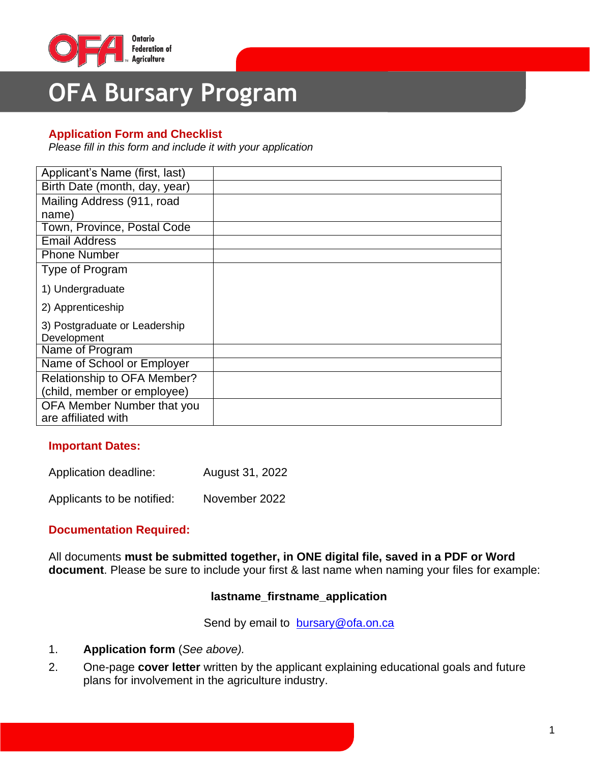

## **OFA Bursary Program**

### **Application Form and Checklist**

*Please fill in this form and include it with your application*

| Applicant's Name (first, last)                    |  |
|---------------------------------------------------|--|
| Birth Date (month, day, year)                     |  |
| Mailing Address (911, road                        |  |
| name)                                             |  |
| Town, Province, Postal Code                       |  |
| <b>Email Address</b>                              |  |
| <b>Phone Number</b>                               |  |
| Type of Program                                   |  |
| 1) Undergraduate                                  |  |
| 2) Apprenticeship                                 |  |
| 3) Postgraduate or Leadership                     |  |
| Development                                       |  |
| Name of Program                                   |  |
| Name of School or Employer                        |  |
| <b>Relationship to OFA Member?</b>                |  |
| (child, member or employee)                       |  |
| OFA Member Number that you<br>are affiliated with |  |

### **Important Dates:**

Application deadline: August 31, 2022

Applicants to be notified: November 2022

### **Documentation Required:**

All documents **must be submitted together, in ONE digital file, saved in a PDF or Word document**. Please be sure to include your first & last name when naming your files for example:

#### **lastname\_firstname\_application**

Send by email to [bursary@ofa.on.ca](mailto:bursary@ofa.on.ca)

- 1. **Application form** (*See above).*
- 2. One-page **cover letter** written by the applicant explaining educational goals and future plans for involvement in the agriculture industry.